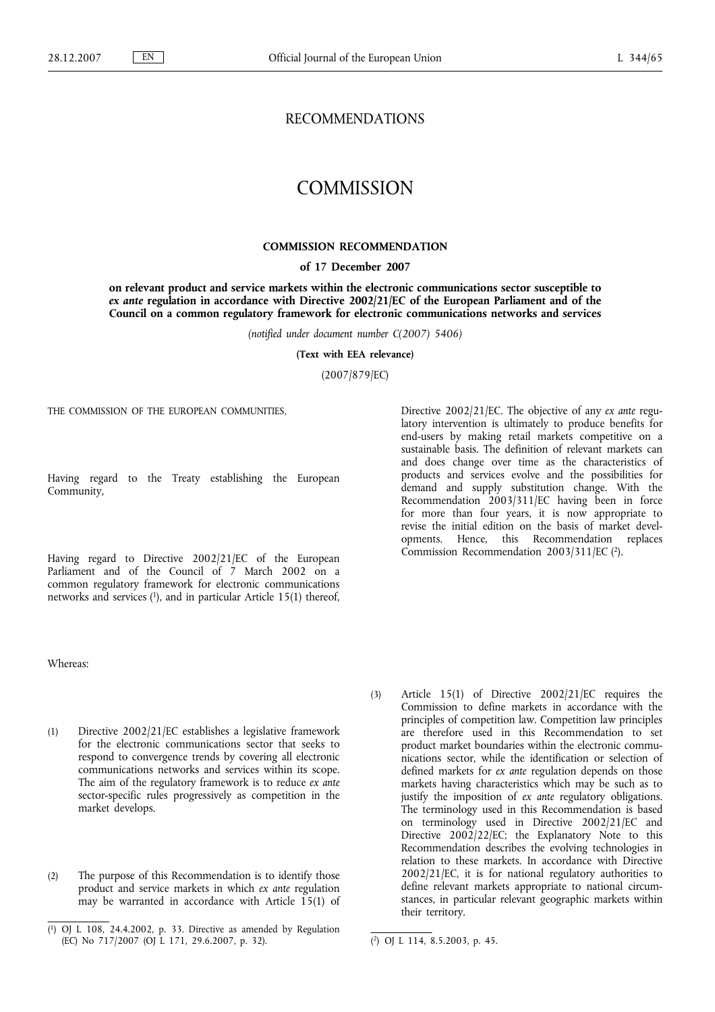# RECOMMENDATIONS

# **COMMISSION**

## **COMMISSION RECOMMENDATION**

### **of 17 December 2007**

**on relevant product and service markets within the electronic communications sector susceptible to** *ex ante* **regulation in accordance with Directive 2002/21/EC of the European Parliament and of the Council on a common regulatory framework for electronic communications networks and services**

*(notified under document number C(2007) 5406)*

**(Text with EEA relevance)**

(2007/879/EC)

THE COMMISSION OF THE EUROPEAN COMMUNITIES,

Having regard to the Treaty establishing the European Community,

Having regard to Directive 2002/21/EC of the European Parliament and of the Council of 7 March 2002 on a common regulatory framework for electronic communications networks and services (1), and in particular Article 15(1) thereof,

Whereas:

- (1) Directive 2002/21/EC establishes a legislative framework for the electronic communications sector that seeks to respond to convergence trends by covering all electronic communications networks and services within its scope. The aim of the regulatory framework is to reduce *ex ante* sector-specific rules progressively as competition in the market develops.
- (2) The purpose of this Recommendation is to identify those product and service markets in which *ex ante* regulation may be warranted in accordance with Article  $15(1)$  of

Directive 2002/21/EC. The objective of any *ex ante* regulatory intervention is ultimately to produce benefits for end-users by making retail markets competitive on a sustainable basis. The definition of relevant markets can and does change over time as the characteristics of products and services evolve and the possibilities for demand and supply substitution change. With the Recommendation 2003/311/EC having been in force for more than four years, it is now appropriate to revise the initial edition on the basis of market developments. Hence, this Recommendation replaces Commission Recommendation 2003/311/EC (2).

(3) Article 15(1) of Directive 2002/21/EC requires the Commission to define markets in accordance with the principles of competition law. Competition law principles are therefore used in this Recommendation to set product market boundaries within the electronic communications sector, while the identification or selection of defined markets for *ex ante* regulation depends on those markets having characteristics which may be such as to justify the imposition of *ex ante* regulatory obligations. The terminology used in this Recommendation is based on terminology used in Directive 2002/21/EC and Directive  $2002/22$ /EC; the Explanatory Note to this Recommendation describes the evolving technologies in relation to these markets. In accordance with Directive 2002/21/EC, it is for national regulatory authorities to define relevant markets appropriate to national circumstances, in particular relevant geographic markets within their territory.

<sup>(</sup> 1) OJ L 108, 24.4.2002, p. 33. Directive as amended by Regulation (EC) No 717/2007 (OJ L 171, 29.6.2007, p. 32). (

<sup>2)</sup> OJ L 114, 8.5.2003, p. 45.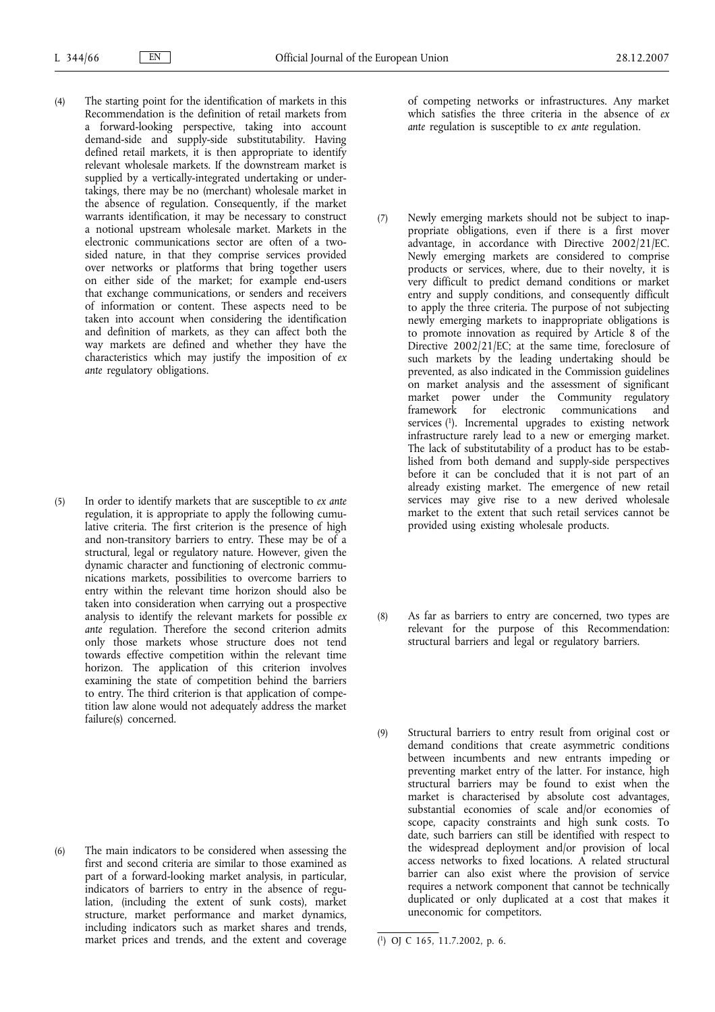(4) The starting point for the identification of markets in this Recommendation is the definition of retail markets from a forward-looking perspective, taking into account demand-side and supply-side substitutability. Having defined retail markets, it is then appropriate to identify relevant wholesale markets. If the downstream market is supplied by a vertically-integrated undertaking or undertakings, there may be no (merchant) wholesale market in the absence of regulation. Consequently, if the market warrants identification, it may be necessary to construct a notional upstream wholesale market. Markets in the electronic communications sector are often of a twosided nature, in that they comprise services provided over networks or platforms that bring together users on either side of the market; for example end-users that exchange communications, or senders and receivers of information or content. These aspects need to be taken into account when considering the identification and definition of markets, as they can affect both the way markets are defined and whether they have the characteristics which may justify the imposition of *ex ante* regulatory obligations.

(5) In order to identify markets that are susceptible to *ex ante* regulation, it is appropriate to apply the following cumulative criteria. The first criterion is the presence of high and non-transitory barriers to entry. These may be of a structural, legal or regulatory nature. However, given the dynamic character and functioning of electronic communications markets, possibilities to overcome barriers to entry within the relevant time horizon should also be taken into consideration when carrying out a prospective analysis to identify the relevant markets for possible *ex ante* regulation. Therefore the second criterion admits only those markets whose structure does not tend towards effective competition within the relevant time horizon. The application of this criterion involves examining the state of competition behind the barriers to entry. The third criterion is that application of competition law alone would not adequately address the market failure(s) concerned.

(6) The main indicators to be considered when assessing the first and second criteria are similar to those examined as part of a forward-looking market analysis, in particular, indicators of barriers to entry in the absence of regulation, (including the extent of sunk costs), market structure, market performance and market dynamics, including indicators such as market shares and trends, market prices and trends, and the extent and coverage of competing networks or infrastructures. Any market which satisfies the three criteria in the absence of *ex ante* regulation is susceptible to *ex ante* regulation.

- (7) Newly emerging markets should not be subject to inappropriate obligations, even if there is a first mover advantage, in accordance with Directive 2002/21/EC. Newly emerging markets are considered to comprise products or services, where, due to their novelty, it is very difficult to predict demand conditions or market entry and supply conditions, and consequently difficult to apply the three criteria. The purpose of not subjecting newly emerging markets to inappropriate obligations is to promote innovation as required by Article 8 of the Directive 2002/21/EC; at the same time, foreclosure of such markets by the leading undertaking should be prevented, as also indicated in the Commission guidelines on market analysis and the assessment of significant market power under the Community regulatory<br>framework for electronic communications and electronic communications and services (1). Incremental upgrades to existing network infrastructure rarely lead to a new or emerging market. The lack of substitutability of a product has to be established from both demand and supply-side perspectives before it can be concluded that it is not part of an already existing market. The emergence of new retail services may give rise to a new derived wholesale market to the extent that such retail services cannot be provided using existing wholesale products.
- (8) As far as barriers to entry are concerned, two types are relevant for the purpose of this Recommendation: structural barriers and legal or regulatory barriers.
- (9) Structural barriers to entry result from original cost or demand conditions that create asymmetric conditions between incumbents and new entrants impeding or preventing market entry of the latter. For instance, high structural barriers may be found to exist when the market is characterised by absolute cost advantages, substantial economies of scale and/or economies of scope, capacity constraints and high sunk costs. To date, such barriers can still be identified with respect to the widespread deployment and/or provision of local access networks to fixed locations. A related structural barrier can also exist where the provision of service requires a network component that cannot be technically duplicated or only duplicated at a cost that makes it uneconomic for competitors.

<sup>(</sup> 1) OJ C 165, 11.7.2002, p. 6.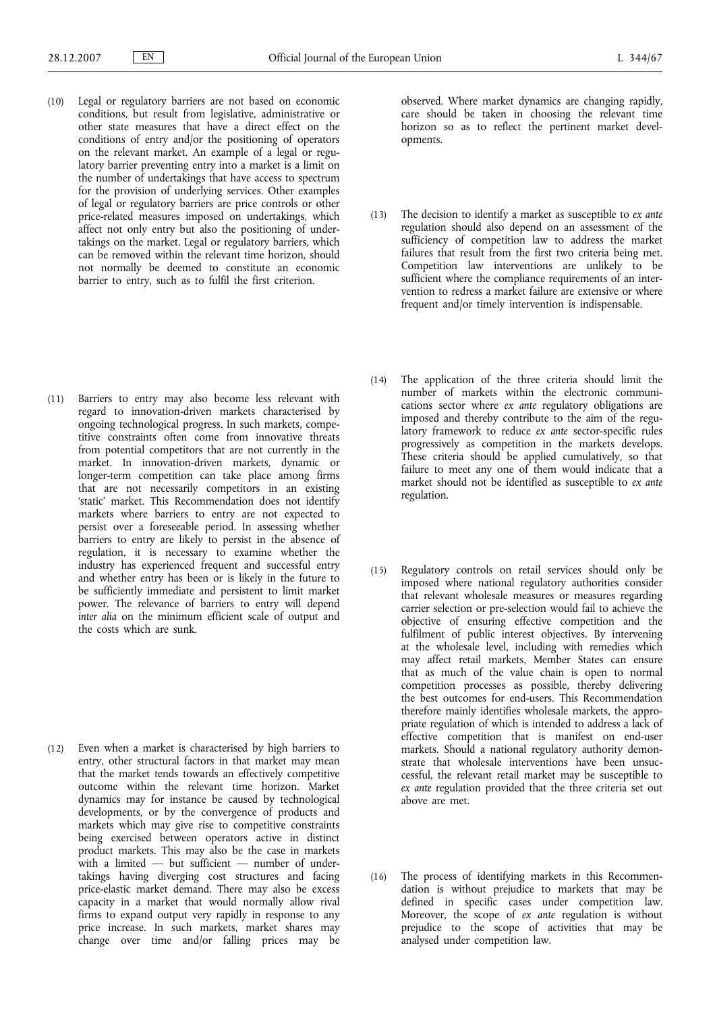(10) Legal or regulatory barriers are not based on economic conditions, but result from legislative, administrative or other state measures that have a direct effect on the conditions of entry and/or the positioning of operators on the relevant market. An example of a legal or regulatory barrier preventing entry into a market is a limit on the number of undertakings that have access to spectrum for the provision of underlying services. Other examples of legal or regulatory barriers are price controls or other price-related measures imposed on undertakings, which affect not only entry but also the positioning of undertakings on the market. Legal or regulatory barriers, which can be removed within the relevant time horizon, should not normally be deemed to constitute an economic barrier to entry, such as to fulfil the first criterion.

(11) Barriers to entry may also become less relevant with regard to innovation-driven markets characterised by ongoing technological progress. In such markets, competitive constraints often come from innovative threats from potential competitors that are not currently in the market. In innovation-driven markets, dynamic or longer-term competition can take place among firms that are not necessarily competitors in an existing 'static' market. This Recommendation does not identify markets where barriers to entry are not expected to persist over a foreseeable period. In assessing whether barriers to entry are likely to persist in the absence of regulation, it is necessary to examine whether the industry has experienced frequent and successful entry and whether entry has been or is likely in the future to be sufficiently immediate and persistent to limit market power. The relevance of barriers to entry will depend *inter alia* on the minimum efficient scale of output and the costs which are sunk.

(12) Even when a market is characterised by high barriers to entry, other structural factors in that market may mean that the market tends towards an effectively competitive outcome within the relevant time horizon. Market dynamics may for instance be caused by technological developments, or by the convergence of products and markets which may give rise to competitive constraints being exercised between operators active in distinct product markets. This may also be the case in markets with a limited  $-$  but sufficient  $-$  number of undertakings having diverging cost structures and facing price-elastic market demand. There may also be excess capacity in a market that would normally allow rival firms to expand output very rapidly in response to any price increase. In such markets, market shares may change over time and/or falling prices may be observed. Where market dynamics are changing rapidly, care should be taken in choosing the relevant time horizon so as to reflect the pertinent market developments.

- (13) The decision to identify a market as susceptible to *ex ante* regulation should also depend on an assessment of the sufficiency of competition law to address the market failures that result from the first two criteria being met. Competition law interventions are unlikely to be sufficient where the compliance requirements of an intervention to redress a market failure are extensive or where frequent and/or timely intervention is indispensable.
- (14) The application of the three criteria should limit the number of markets within the electronic communications sector where *ex ante* regulatory obligations are imposed and thereby contribute to the aim of the regulatory framework to reduce *ex ante* sector-specific rules progressively as competition in the markets develops. These criteria should be applied cumulatively, so that failure to meet any one of them would indicate that a market should not be identified as susceptible to *ex ante* regulation.
- (15) Regulatory controls on retail services should only be imposed where national regulatory authorities consider that relevant wholesale measures or measures regarding carrier selection or pre-selection would fail to achieve the objective of ensuring effective competition and the fulfilment of public interest objectives. By intervening at the wholesale level, including with remedies which may affect retail markets, Member States can ensure that as much of the value chain is open to normal competition processes as possible, thereby delivering the best outcomes for end-users. This Recommendation therefore mainly identifies wholesale markets, the appropriate regulation of which is intended to address a lack of effective competition that is manifest on end-user markets. Should a national regulatory authority demonstrate that wholesale interventions have been unsuccessful, the relevant retail market may be susceptible to *ex ante* regulation provided that the three criteria set out above are met.
- (16) The process of identifying markets in this Recommendation is without prejudice to markets that may be defined in specific cases under competition law. Moreover, the scope of *ex ante* regulation is without prejudice to the scope of activities that may be analysed under competition law.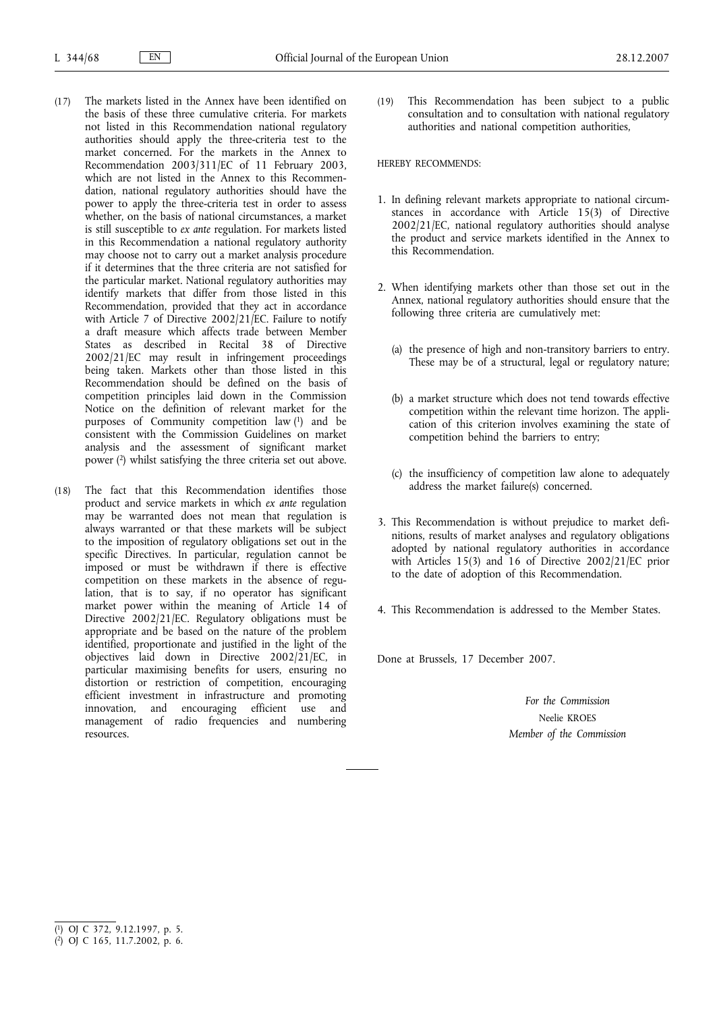- (17) The markets listed in the Annex have been identified on the basis of these three cumulative criteria. For markets not listed in this Recommendation national regulatory authorities should apply the three-criteria test to the market concerned. For the markets in the Annex to Recommendation 2003/311/EC of 11 February 2003, which are not listed in the Annex to this Recommendation, national regulatory authorities should have the power to apply the three-criteria test in order to assess whether, on the basis of national circumstances, a market is still susceptible to *ex ante* regulation. For markets listed in this Recommendation a national regulatory authority may choose not to carry out a market analysis procedure if it determines that the three criteria are not satisfied for the particular market. National regulatory authorities may identify markets that differ from those listed in this Recommendation, provided that they act in accordance with Article 7 of Directive 2002/21/EC. Failure to notify a draft measure which affects trade between Member States as described in Recital 38 of Directive 2002/21/EC may result in infringement proceedings being taken. Markets other than those listed in this Recommendation should be defined on the basis of competition principles laid down in the Commission Notice on the definition of relevant market for the purposes of Community competition  $law<sup>{1}</sup>$  and be consistent with the Commission Guidelines on market analysis and the assessment of significant market power (2) whilst satisfying the three criteria set out above.
- (18) The fact that this Recommendation identifies those product and service markets in which *ex ante* regulation may be warranted does not mean that regulation is always warranted or that these markets will be subject to the imposition of regulatory obligations set out in the specific Directives. In particular, regulation cannot be imposed or must be withdrawn if there is effective competition on these markets in the absence of regulation, that is to say, if no operator has significant market power within the meaning of Article 14 of Directive 2002/21/EC. Regulatory obligations must be appropriate and be based on the nature of the problem identified, proportionate and justified in the light of the objectives laid down in Directive 2002/21/EC, in particular maximising benefits for users, ensuring no distortion or restriction of competition, encouraging efficient investment in infrastructure and promoting innovation, and encouraging efficient use and management of radio frequencies and numbering resources.

(19) This Recommendation has been subject to a public consultation and to consultation with national regulatory authorities and national competition authorities,

## HEREBY RECOMMENDS:

- 1. In defining relevant markets appropriate to national circumstances in accordance with Article 15(3) of Directive 2002/21/EC, national regulatory authorities should analyse the product and service markets identified in the Annex to this Recommendation.
- 2. When identifying markets other than those set out in the Annex, national regulatory authorities should ensure that the following three criteria are cumulatively met:
	- (a) the presence of high and non-transitory barriers to entry. These may be of a structural, legal or regulatory nature;
	- (b) a market structure which does not tend towards effective competition within the relevant time horizon. The application of this criterion involves examining the state of competition behind the barriers to entry;
	- (c) the insufficiency of competition law alone to adequately address the market failure(s) concerned.
- 3. This Recommendation is without prejudice to market definitions, results of market analyses and regulatory obligations adopted by national regulatory authorities in accordance with Articles 15(3) and 16 of Directive 2002/21/EC prior to the date of adoption of this Recommendation.
- 4. This Recommendation is addressed to the Member States.

Done at Brussels, 17 December 2007.

*For the Commission* Neelie KROES *Member of the Commission*

<sup>(</sup> 1) OJ C 372, 9.12.1997, p. 5.

<sup>(</sup> 2) OJ C 165, 11.7.2002, p. 6.